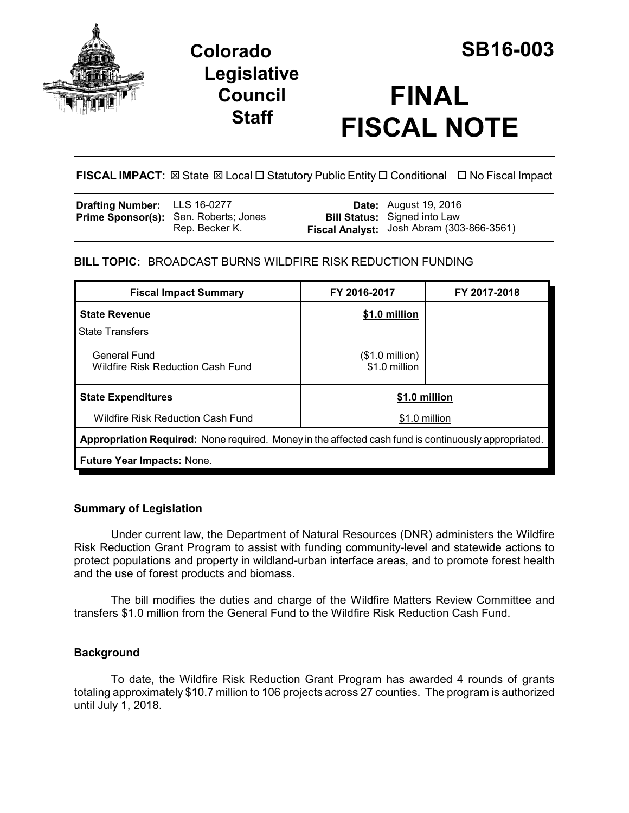

# **Colorado SB16-003 Legislative Council Staff**

# **FINAL FISCAL NOTE**

**FISCAL IMPACT:** ⊠ State ⊠ Local □ Statutory Public Entity □ Conditional □ No Fiscal Impact

| <b>Drafting Number:</b> LLS 16-0277 |                                                                | <b>Date:</b> August 19, 2016                                                     |
|-------------------------------------|----------------------------------------------------------------|----------------------------------------------------------------------------------|
|                                     | <b>Prime Sponsor(s):</b> Sen. Roberts; Jones<br>Rep. Becker K. | <b>Bill Status:</b> Signed into Law<br>Fiscal Analyst: Josh Abram (303-866-3561) |

# **BILL TOPIC:** BROADCAST BURNS WILDFIRE RISK REDUCTION FUNDING

| <b>Fiscal Impact Summary</b>                                                                         | FY 2016-2017                              | FY 2017-2018 |  |  |  |
|------------------------------------------------------------------------------------------------------|-------------------------------------------|--------------|--|--|--|
| <b>State Revenue</b>                                                                                 | \$1.0 million                             |              |  |  |  |
| <b>State Transfers</b>                                                                               |                                           |              |  |  |  |
| General Fund<br><b>Wildfire Risk Reduction Cash Fund</b>                                             | $($1.0 \text{ million})$<br>\$1.0 million |              |  |  |  |
| <b>State Expenditures</b>                                                                            | \$1.0 million                             |              |  |  |  |
| <b>Wildfire Risk Reduction Cash Fund</b>                                                             | \$1.0 million                             |              |  |  |  |
| Appropriation Required: None required. Money in the affected cash fund is continuously appropriated. |                                           |              |  |  |  |
| <b>Future Year Impacts: None.</b>                                                                    |                                           |              |  |  |  |

### **Summary of Legislation**

Under current law, the Department of Natural Resources (DNR) administers the Wildfire Risk Reduction Grant Program to assist with funding community-level and statewide actions to protect populations and property in wildland-urban interface areas, and to promote forest health and the use of forest products and biomass.

The bill modifies the duties and charge of the Wildfire Matters Review Committee and transfers \$1.0 million from the General Fund to the Wildfire Risk Reduction Cash Fund.

## **Background**

To date, the Wildfire Risk Reduction Grant Program has awarded 4 rounds of grants totaling approximately \$10.7 million to 106 projects across 27 counties. The program is authorized until July 1, 2018.